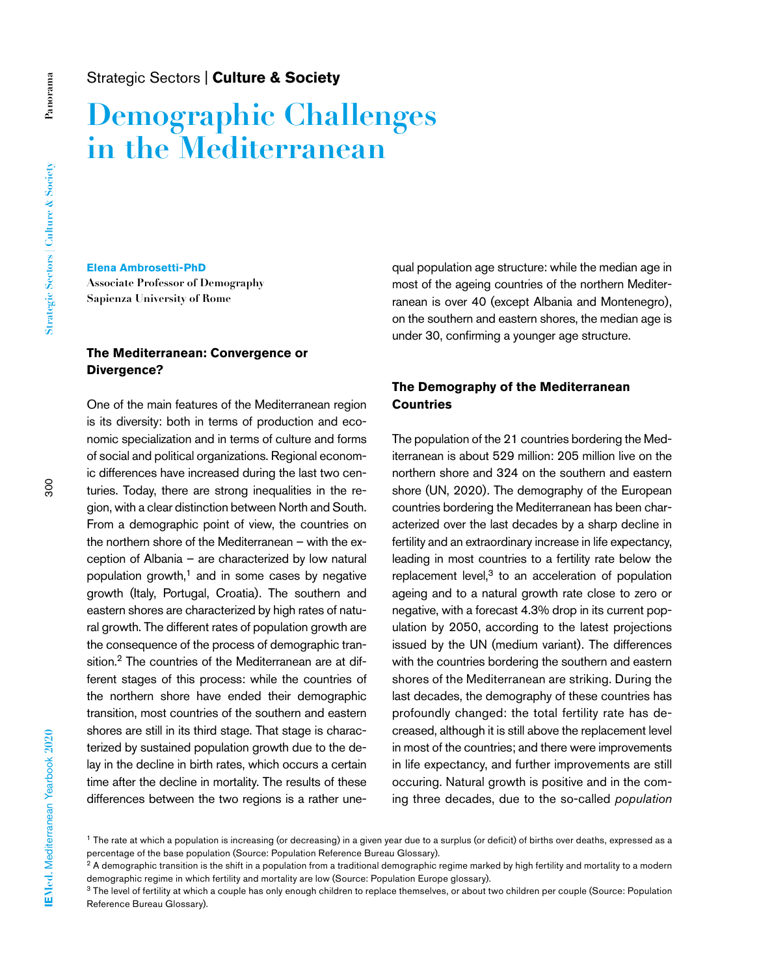# **Demographic Challenges in the Mediterranean**

#### **Elena Ambrosetti-PhD**

**Associate Professor of Demography Sapienza University of Rome**

# **The Mediterranean: Convergence or Divergence?**

One of the main features of the Mediterranean region is its diversity: both in terms of production and economic specialization and in terms of culture and forms of social and political organizations. Regional economic differences have increased during the last two centuries. Today, there are strong inequalities in the region, with a clear distinction between North and South. From a demographic point of view, the countries on the northern shore of the Mediterranean – with the exception of Albania – are characterized by low natural population growth, $<sup>1</sup>$  and in some cases by negative</sup> growth (Italy, Portugal, Croatia). The southern and eastern shores are characterized by high rates of natural growth. The different rates of population growth are the consequence of the process of demographic transition.<sup>2</sup> The countries of the Mediterranean are at different stages of this process: while the countries of the northern shore have ended their demographic transition, most countries of the southern and eastern shores are still in its third stage. That stage is characterized by sustained population growth due to the delay in the decline in birth rates, which occurs a certain time after the decline in mortality. The results of these differences between the two regions is a rather unequal population age structure: while the median age in most of the ageing countries of the northern Mediterranean is over 40 (except Albania and Montenegro), on the southern and eastern shores, the median age is under 30, confirming a younger age structure.

# **The Demography of the Mediterranean Countries**

The population of the 21 countries bordering the Mediterranean is about 529 million: 205 million live on the northern shore and 324 on the southern and eastern shore (UN, 2020). The demography of the European countries bordering the Mediterranean has been characterized over the last decades by a sharp decline in fertility and an extraordinary increase in life expectancy, leading in most countries to a fertility rate below the replacement level, $3$  to an acceleration of population ageing and to a natural growth rate close to zero or negative, with a forecast 4.3% drop in its current population by 2050, according to the latest projections issued by the UN (medium variant). The differences with the countries bordering the southern and eastern shores of the Mediterranean are striking. During the last decades, the demography of these countries has profoundly changed: the total fertility rate has decreased, although it is still above the replacement level in most of the countries; and there were improvements in life expectancy, and further improvements are still occuring. Natural growth is positive and in the coming three decades, due to the so-called *population* 

<sup>&</sup>lt;sup>1</sup> The rate at which a population is increasing (or decreasing) in a given year due to a surplus (or deficit) of births over deaths, expressed as a percentage of the base population (Source: Population Reference Bureau Glossary).

<sup>&</sup>lt;sup>2</sup> A demographic transition is the shift in a population from a traditional demographic regime marked by high fertility and mortality to a modern demographic regime in which fertility and mortality are low (Source: Population Europe glossary).

<sup>&</sup>lt;sup>3</sup> The level of fertility at which a couple has only enough children to replace themselves, or about two children per couple (Source: Population Reference Bureau Glossary).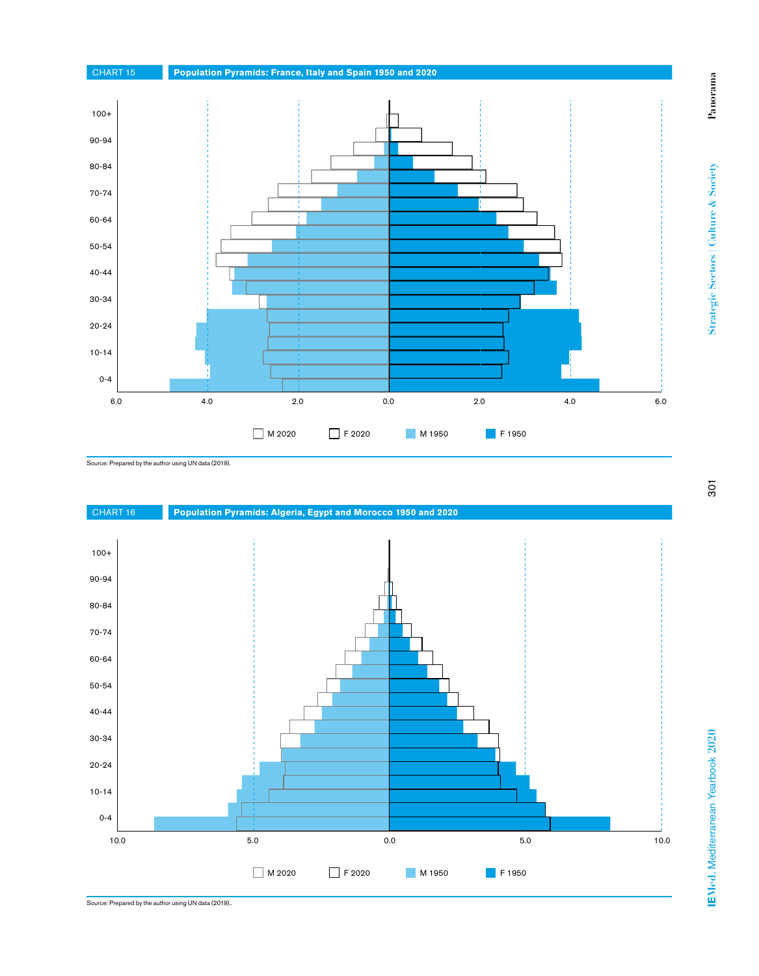

Source: Prepared by the author using UN data (2019).



Source: Prepared by the author using UN data (2019)..

**Panorama**

 $P<sub>anor</sub>ana$ 

**Strategic Sectors | Culture & Society**

Strategic Sectors | Culture & Society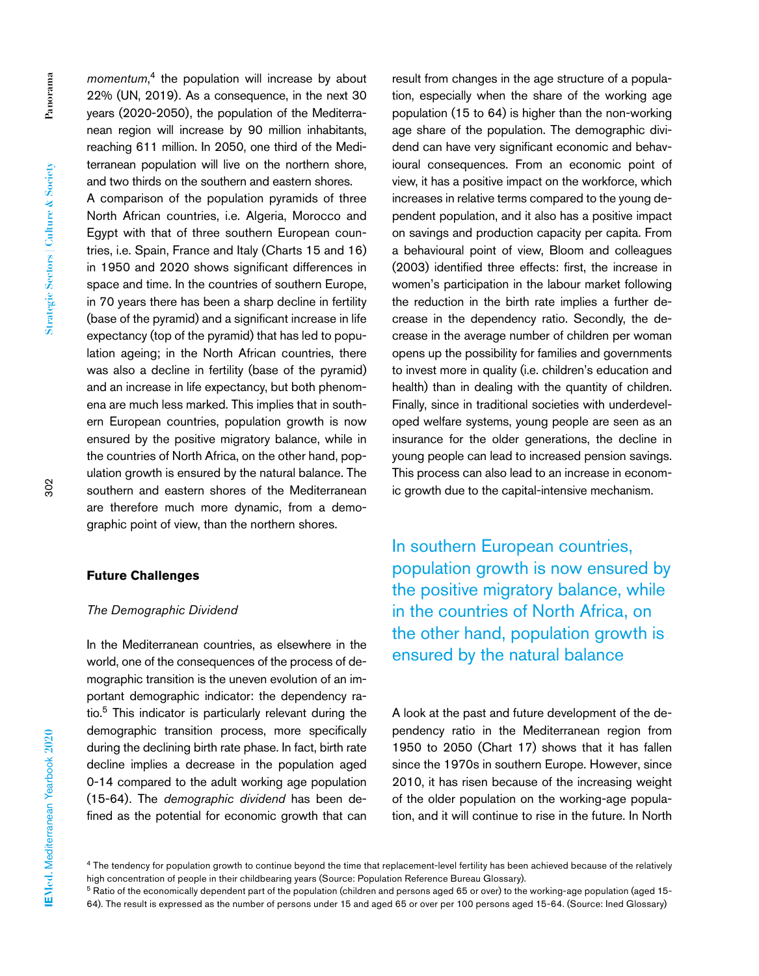*momentum*, 4 the population will increase by about 22% (UN, 2019). As a consequence, in the next 30 years (2020-2050), the population of the Mediterranean region will increase by 90 million inhabitants, reaching 611 million. In 2050, one third of the Mediterranean population will live on the northern shore, and two thirds on the southern and eastern shores.

A comparison of the population pyramids of three North African countries, i.e. Algeria, Morocco and Egypt with that of three southern European countries, i.e. Spain, France and Italy (Charts 15 and 16) in 1950 and 2020 shows significant differences in space and time. In the countries of southern Europe, in 70 years there has been a sharp decline in fertility (base of the pyramid) and a significant increase in life expectancy (top of the pyramid) that has led to population ageing; in the North African countries, there was also a decline in fertility (base of the pyramid) and an increase in life expectancy, but both phenomena are much less marked. This implies that in southern European countries, population growth is now ensured by the positive migratory balance, while in the countries of North Africa, on the other hand, population growth is ensured by the natural balance. The southern and eastern shores of the Mediterranean are therefore much more dynamic, from a demographic point of view, than the northern shores.

#### **Future Challenges**

#### *The Demographic Dividend*

In the Mediterranean countries, as elsewhere in the world, one of the consequences of the process of demographic transition is the uneven evolution of an important demographic indicator: the dependency ratio.5 This indicator is particularly relevant during the demographic transition process, more specifically during the declining birth rate phase. In fact, birth rate decline implies a decrease in the population aged 0-14 compared to the adult working age population (15-64). The *demographic dividend* has been defined as the potential for economic growth that can

result from changes in the age structure of a population, especially when the share of the working age population (15 to 64) is higher than the non-working age share of the population. The demographic dividend can have very significant economic and behavioural consequences. From an economic point of view, it has a positive impact on the workforce, which increases in relative terms compared to the young dependent population, and it also has a positive impact on savings and production capacity per capita. From a behavioural point of view, Bloom and colleagues (2003) identified three effects: first, the increase in women's participation in the labour market following the reduction in the birth rate implies a further decrease in the dependency ratio. Secondly, the decrease in the average number of children per woman opens up the possibility for families and governments to invest more in quality (i.e. children's education and health) than in dealing with the quantity of children. Finally, since in traditional societies with underdeveloped welfare systems, young people are seen as an insurance for the older generations, the decline in young people can lead to increased pension savings. This process can also lead to an increase in economic growth due to the capital-intensive mechanism.

In southern European countries, population growth is now ensured by the positive migratory balance, while in the countries of North Africa, on the other hand, population growth is ensured by the natural balance

A look at the past and future development of the dependency ratio in the Mediterranean region from 1950 to 2050 (Chart 17) shows that it has fallen since the 1970s in southern Europe. However, since 2010, it has risen because of the increasing weight of the older population on the working-age population, and it will continue to rise in the future. In North

<sup>4</sup> The tendency for population growth to continue beyond the time that replacement-level fertility has been achieved because of the relatively high concentration of people in their childbearing years (Source: Population Reference Bureau Glossary).

<sup>&</sup>lt;sup>5</sup> Ratio of the economically dependent part of the population (children and persons aged 65 or over) to the working-age population (aged 15-64). The result is expressed as the number of persons under 15 and aged 65 or over per 100 persons aged 15-64. (Source: Ined Glossary)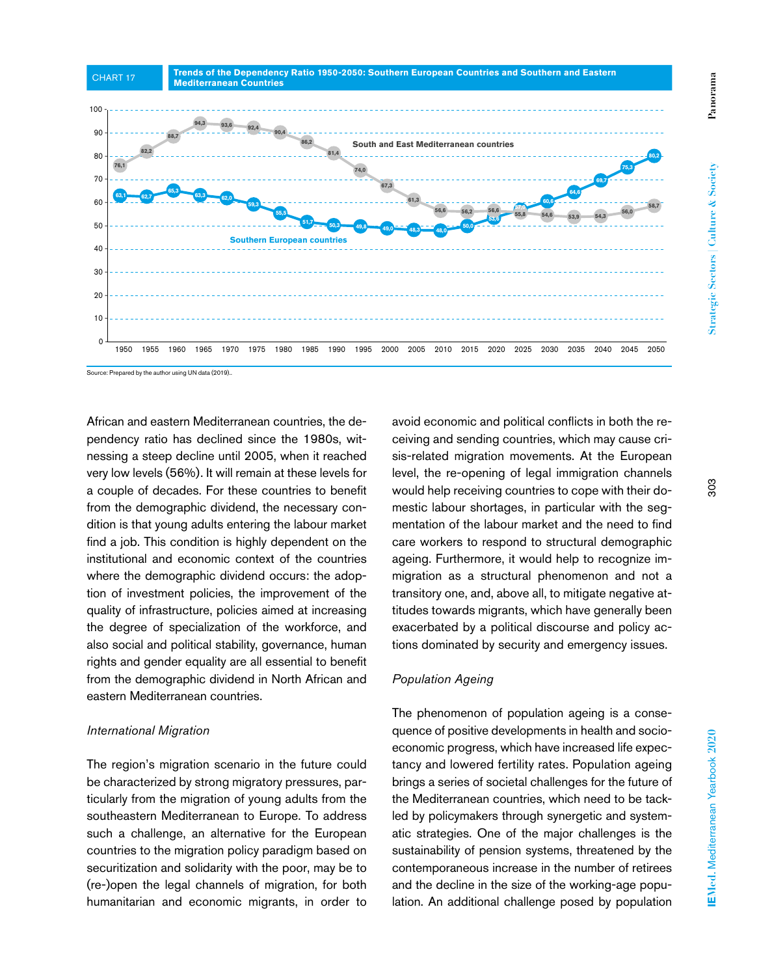

Source: Prepared by the author using UN data (2019)..

 $\Omega$  $10$  $20$ 30  $40$ 50 -  $60$ 70 - 80 - 90 - 10<sub>C</sub>

African and eastern Mediterranean countries, the dependency ratio has declined since the 1980s, witnessing a steep decline until 2005, when it reached very low levels (56%). It will remain at these levels for a couple of decades. For these countries to benefit from the demographic dividend, the necessary condition is that young adults entering the labour market find a job. This condition is highly dependent on the institutional and economic context of the countries where the demographic dividend occurs: the adoption of investment policies, the improvement of the quality of infrastructure, policies aimed at increasing the degree of specialization of the workforce, and also social and political stability, governance, human rights and gender equality are all essential to benefit from the demographic dividend in North African and eastern Mediterranean countries.

## *International Migration*

The region's migration scenario in the future could be characterized by strong migratory pressures, particularly from the migration of young adults from the southeastern Mediterranean to Europe. To address such a challenge, an alternative for the European countries to the migration policy paradigm based on securitization and solidarity with the poor, may be to (re-)open the legal channels of migration, for both humanitarian and economic migrants, in order to avoid economic and political conflicts in both the receiving and sending countries, which may cause crisis-related migration movements. At the European level, the re-opening of legal immigration channels would help receiving countries to cope with their domestic labour shortages, in particular with the segmentation of the labour market and the need to find care workers to respond to structural demographic ageing. Furthermore, it would help to recognize immigration as a structural phenomenon and not a transitory one, and, above all, to mitigate negative attitudes towards migrants, which have generally been exacerbated by a political discourse and policy actions dominated by security and emergency issues.

# *Population Ageing*

The phenomenon of population ageing is a consequence of positive developments in health and socioeconomic progress, which have increased life expectancy and lowered fertility rates. Population ageing brings a series of societal challenges for the future of the Mediterranean countries, which need to be tackled by policymakers through synergetic and systematic strategies. One of the major challenges is the sustainability of pension systems, threatened by the contemporaneous increase in the number of retirees and the decline in the size of the working-age population. An additional challenge posed by population